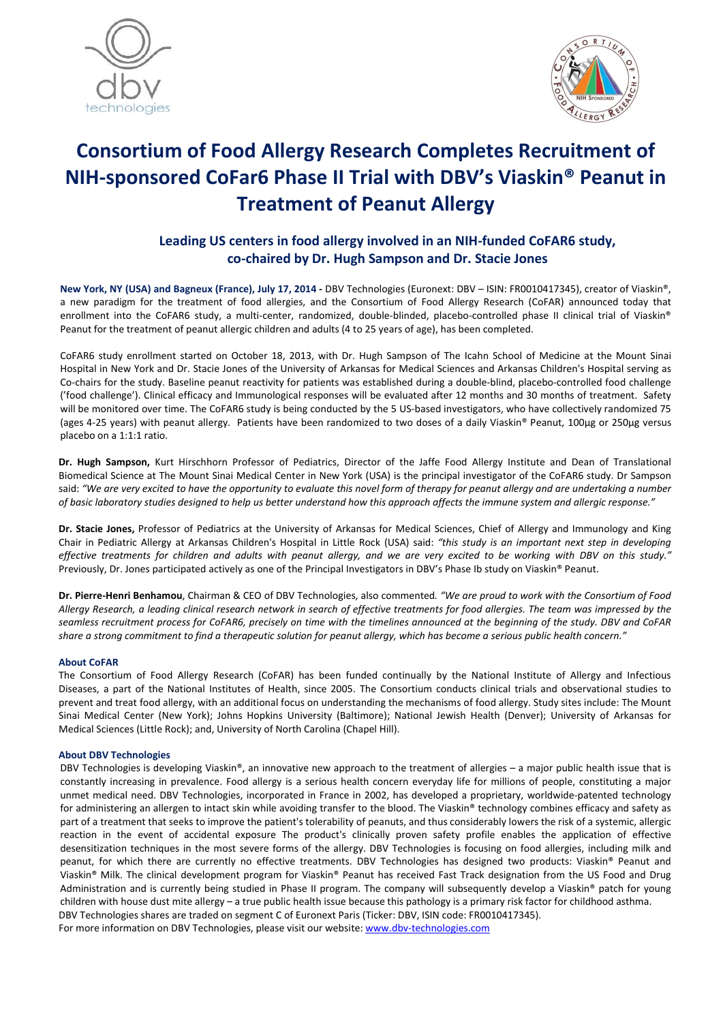



# Consortium of Food Allergy Research Completes Recruitment of NIH-sponsored CoFar6 Phase II Trial with DBV's Viaskin® Peanut in Treatment of Peanut Allergy

## Leading US centers in food allergy involved in an NIH-funded CoFAR6 study, co-chaired by Dr. Hugh Sampson and Dr. Stacie Jones

New York, NY (USA) and Bagneux (France), July 17, 2014 - DBV Technologies (Euronext: DBV – ISIN: FR0010417345), creator of Viaskin®, a new paradigm for the treatment of food allergies, and the Consortium of Food Allergy Research (CoFAR) announced today that enrollment into the CoFAR6 study, a multi-center, randomized, double-blinded, placebo-controlled phase II clinical trial of Viaskin® Peanut for the treatment of peanut allergic children and adults (4 to 25 years of age), has been completed.

CoFAR6 study enrollment started on October 18, 2013, with Dr. Hugh Sampson of The Icahn School of Medicine at the Mount Sinai Hospital in New York and Dr. Stacie Jones of the University of Arkansas for Medical Sciences and Arkansas Children's Hospital serving as Co-chairs for the study. Baseline peanut reactivity for patients was established during a double-blind, placebo-controlled food challenge ('food challenge'). Clinical efficacy and Immunological responses will be evaluated after 12 months and 30 months of treatment. Safety will be monitored over time. The CoFAR6 study is being conducted by the 5 US-based investigators, who have collectively randomized 75 (ages 4-25 years) with peanut allergy. Patients have been randomized to two doses of a daily Viaskin® Peanut, 100µg or 250µg versus placebo on a 1:1:1 ratio.

Dr. Hugh Sampson, Kurt Hirschhorn Professor of Pediatrics, Director of the Jaffe Food Allergy Institute and Dean of Translational Biomedical Science at The Mount Sinai Medical Center in New York (USA) is the principal investigator of the CoFAR6 study. Dr Sampson said: *"We are very excited to have the opportunity to evaluate this novel form of therapy for peanut allergy and are undertaking a number of basic laboratory studies designed to help us better understand how this approach affects the immune system and allergic response."*

Dr. Stacie Jones, Professor of Pediatrics at the University of Arkansas for Medical Sciences, Chief of Allergy and Immunology and King Chair in Pediatric Allergy at Arkansas Children's Hospital in Little Rock (USA) said: *"this study is an important next step in developing effective treatments for children and adults with peanut allergy, and we are very excited to be working with DBV on this study."* Previously, Dr. Jones participated actively as one of the Principal Investigators in DBV's Phase Ib study on Viaskin® Peanut.

Dr. Pierre-Henri Benhamou, Chairman & CEO of DBV Technologies, also commented*. "We are proud to work with the Consortium of Food Allergy Research, a leading clinical research network in search of effective treatments for food allergies. The team was impressed by the seamless recruitment process for CoFAR6, precisely on time with the timelines announced at the beginning of the study. DBV and CoFAR share a strong commitment to find a therapeutic solution for peanut allergy, which has become a serious public health concern."*

#### About CoFAR

The Consortium of Food Allergy Research (CoFAR) has been funded continually by the National Institute of Allergy and Infectious Diseases, a part of the National Institutes of Health, since 2005. The Consortium conducts clinical trials and observational studies to prevent and treat food allergy, with an additional focus on understanding the mechanisms of food allergy. Study sites include: The Mount Sinai Medical Center (New York); Johns Hopkins University (Baltimore); National Jewish Health (Denver); University of Arkansas for Medical Sciences (Little Rock); and, University of North Carolina (Chapel Hill).

#### About DBV Technologies

DBV Technologies is developing Viaskin®, an innovative new approach to the treatment of allergies – a major public health issue that is constantly increasing in prevalence. Food allergy is a serious health concern everyday life for millions of people, constituting a major unmet medical need. DBV Technologies, incorporated in France in 2002, has developed a proprietary, worldwide-patented technology for administering an allergen to intact skin while avoiding transfer to the blood. The Viaskin® technology combines efficacy and safety as part of a treatment that seeks to improve the patient's tolerability of peanuts, and thus considerably lowers the risk of a systemic, allergic reaction in the event of accidental exposure The product's clinically proven safety profile enables the application of effective desensitization techniques in the most severe forms of the allergy. DBV Technologies is focusing on food allergies, including milk and peanut, for which there are currently no effective treatments. DBV Technologies has designed two products: Viaskin® Peanut and Viaskin® Milk. The clinical development program for Viaskin® Peanut has received Fast Track designation from the US Food and Drug Administration and is currently being studied in Phase II program. The company will subsequently develop a Viaskin® patch for young children with house dust mite allergy – a true public health issue because this pathology is a primary risk factor for childhood asthma. DBV Technologies shares are traded on segment C of Euronext Paris (Ticker: DBV, ISIN code: FR0010417345).

For more information on DBV Technologies, please visit our website: www.dbv-technologies.com